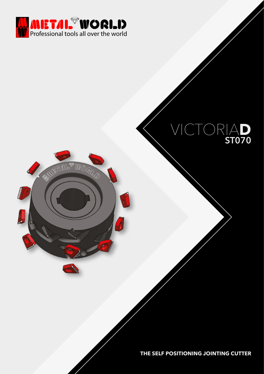

## VICTORIA**D ST070**

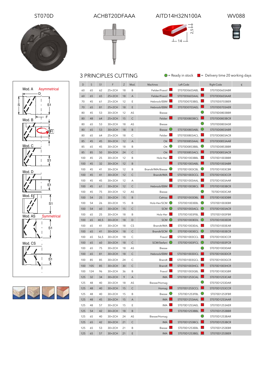





ST070D ACHBT20DFAAA AITD14H32N100A WV088







125 65 53 30+2CH 21 B Biesse B ST070D1253EBL ST070D1253EBF 125 65 57 30+2CH 21 E IMA ■ ST070D1253BEL ■ ST070D1253BER

■  $IMA$ 

■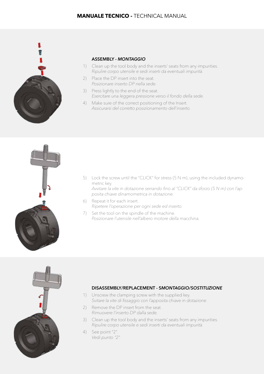

#### **ASSEMBLY -** *MONTAGGIO*

- 1) Clean up the tool body and the inserts' seats from any impurities. *Ripulire corpo utensile e sedi inserti da eventuali impurità.*
- 2) Place the DP insert into the seat. *Posizionare inserto DP nella sede.*
- 3) Press lightly to the end of the seat. *Esercitare una leggera pressione verso il fondo della sede.*
- 4) Make sure of the correct positioning of the Insert. *Assicurarsi del corretto posizionamento dell'inserto.*



- 5) Lock the screw until the "CLICK" for stress (5 N m), using the included dynamometric key. *Avvitare la vite in dotazione serrando fino al "CLICK" da sforzo (5 N m) con l'ap*
	- *posita chiave dinamometrica in dotazione.*
- 6) Repeat it for each insert. *Ripetere l'operazione per ogni sede ed inserto.*
- 7) Set the tool on the spindle of the machine. *Posizionare l'utensile nell'albero motore della macchina.*



#### **DISASSEMBLY/REPLACEMENT - S***MONTAGGIO/SOSTITUZIONE*

- 1) Unscrew the clamping screw with the supplied key. *Svitare la vite di fissaggio con l'apposita chiave in dotazione.*
- 2) Remove the DP insert from the seat. *Rimuovere l'inserto DP dalla sede.*
- 3) Clean up the tool body and the inserts' seats from any impurities. *Ripulire corpo utensile e sedi inserti da eventuali impurità.*
- 4) See point "2". *Vedi punto "2".*